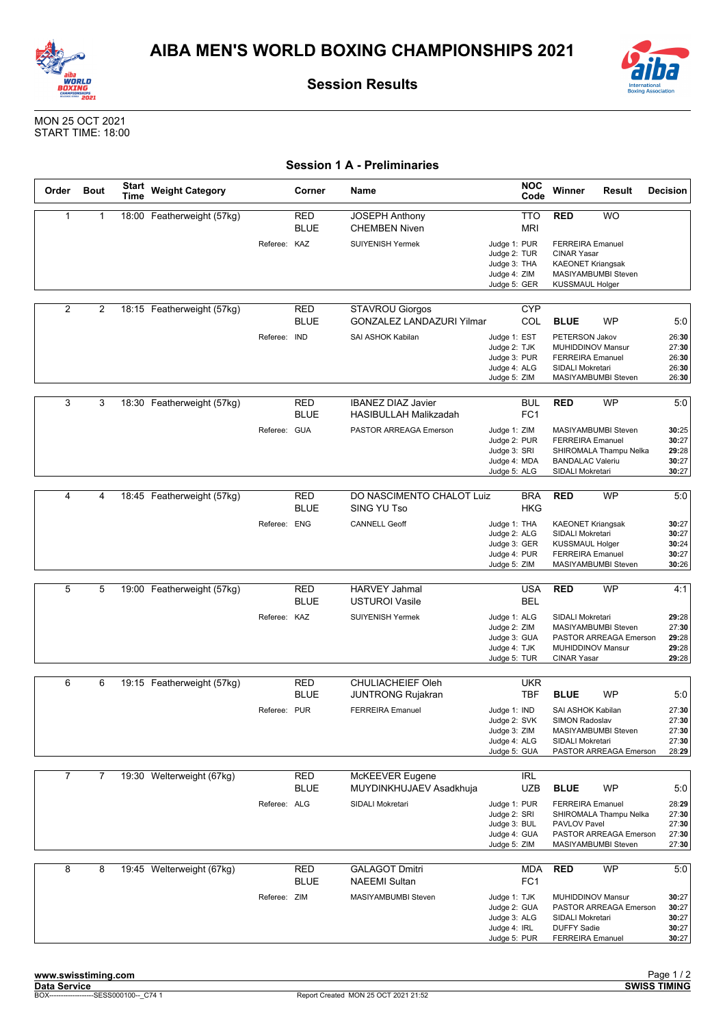



**Session Results**



MON 25 OCT 2021 START TIME: 18:00

## **Session 1 A - Preliminaries**

| Order          | <b>Bout</b>    | <b>Start</b><br>Time | <b>Weight Category</b>     |              | Corner                    | Name                                                      | <b>NOC</b><br>Code                                                           | Winner                                                                                              | <b>Result</b>                                                           | <b>Decision</b>                           |
|----------------|----------------|----------------------|----------------------------|--------------|---------------------------|-----------------------------------------------------------|------------------------------------------------------------------------------|-----------------------------------------------------------------------------------------------------|-------------------------------------------------------------------------|-------------------------------------------|
| 1              | 1              |                      | 18:00 Featherweight (57kg) |              | RED<br><b>BLUE</b>        | <b>JOSEPH Anthony</b><br><b>CHEMBEN Niven</b>             | TTO<br><b>MRI</b>                                                            | <b>RED</b>                                                                                          | <b>WO</b>                                                               |                                           |
|                |                |                      |                            | Referee: KAZ |                           | <b>SUIYENISH Yermek</b>                                   | Judge 1: PUR<br>Judge 2: TUR<br>Judge 3: THA<br>Judge 4: ZIM<br>Judge 5: GER | <b>FERREIRA Emanuel</b><br><b>CINAR Yasar</b><br><b>KAEONET Kriangsak</b><br><b>KUSSMAUL Holger</b> | MASIYAMBUMBI Steven                                                     |                                           |
| $\overline{2}$ | 2              |                      | 18:15 Featherweight (57kg) |              | <b>RED</b><br><b>BLUE</b> | STAVROU Giorgos<br><b>GONZALEZ LANDAZURI Yilmar</b>       | <b>CYP</b><br>COL                                                            | <b>BLUE</b>                                                                                         | WP                                                                      | 5:0                                       |
|                |                |                      |                            | Referee: IND |                           | SAI ASHOK Kabilan                                         | Judge 1: EST<br>Judge 2: TJK<br>Judge 3: PUR<br>Judge 4: ALG<br>Judge 5: ZIM | PETERSON Jakov<br>MUHIDDINOV Mansur<br><b>FERREIRA</b> Emanuel<br>SIDALI Mokretari                  | MASIYAMBUMBI Steven                                                     | 26:30<br>27:30<br>26:30<br>26:30<br>26:30 |
| 3              | 3              |                      | 18:30 Featherweight (57kg) |              | RED<br><b>BLUE</b>        | <b>IBANEZ DIAZ Javier</b><br><b>HASIBULLAH Malikzadah</b> | <b>BUL</b><br>FC <sub>1</sub>                                                | <b>RED</b>                                                                                          | <b>WP</b>                                                               | 5:0                                       |
|                |                |                      |                            | Referee: GUA |                           | PASTOR ARREAGA Emerson                                    | Judge 1: ZIM<br>Judge 2: PUR<br>Judge 3: SRI<br>Judge 4: MDA<br>Judge 5: ALG | <b>FERREIRA</b> Emanuel<br><b>BANDALAC Valeriu</b><br>SIDALI Mokretari                              | <b>MASIYAMBUMBI Steven</b><br>SHIROMALA Thampu Nelka                    | 30:25<br>30:27<br>29:28<br>30:27<br>30:27 |
| 4              | 4              |                      | 18:45 Featherweight (57kg) |              | <b>RED</b><br><b>BLUE</b> | DO NASCIMENTO CHALOT Luiz<br><b>SING YU Tso</b>           | <b>BRA</b><br><b>HKG</b>                                                     | <b>RED</b>                                                                                          | <b>WP</b>                                                               | 5:0                                       |
|                |                |                      |                            | Referee: ENG |                           | <b>CANNELL Geoff</b>                                      | Judge 1: THA<br>Judge 2: ALG<br>Judge 3: GER<br>Judge 4: PUR<br>Judge 5: ZIM | <b>KAEONET Kriangsak</b><br>SIDALI Mokretari<br><b>KUSSMAUL Holger</b><br><b>FERREIRA</b> Emanuel   | MASIYAMBUMBI Steven                                                     | 30:27<br>30:27<br>30:24<br>30:27<br>30:26 |
|                |                |                      |                            |              |                           |                                                           |                                                                              |                                                                                                     |                                                                         |                                           |
| 5              | 5              |                      | 19:00 Featherweight (57kg) |              | RED<br><b>BLUE</b>        | <b>HARVEY Jahmal</b><br><b>USTUROI Vasile</b>             | <b>USA</b><br><b>BEL</b>                                                     | <b>RED</b>                                                                                          | <b>WP</b>                                                               | 4:1                                       |
|                |                |                      |                            | Referee: KAZ |                           | SUIYENISH Yermek                                          | Judge 1: ALG<br>Judge 2: ZIM<br>Judge 3: GUA<br>Judge 4: TJK<br>Judge 5: TUR | SIDALI Mokretari<br><b>MUHIDDINOV Mansur</b><br><b>CINAR Yasar</b>                                  | MASIYAMBUMBI Steven<br>PASTOR ARREAGA Emerson                           | 29:28<br>27:30<br>29:28<br>29:28<br>29:28 |
| 6              | 6              |                      | 19:15 Featherweight (57kg) |              | RED                       | <b>CHULIACHEIEF Oleh</b>                                  | <b>UKR</b>                                                                   |                                                                                                     |                                                                         |                                           |
|                |                |                      |                            |              | <b>BLUE</b>               | <b>JUNTRONG Rujakran</b>                                  | TBF                                                                          | <b>BLUE</b>                                                                                         | <b>WP</b>                                                               | 5:0                                       |
|                |                |                      |                            | Referee: PUR |                           | <b>FERREIRA</b> Emanuel                                   | Judge 1: IND<br>Judge 2: SVK<br>Judge 3: ZIM<br>Judge 4: ALG<br>Judge 5: GUA | SAI ASHOK Kabilan<br>SIMON Radoslav<br>SIDALI Mokretari                                             | MASIYAMBUMBI Steven<br>PASTOR ARREAGA Emerson                           | 27:30<br>27:30<br>27:30<br>27:30<br>28:29 |
| $\overline{7}$ | $\overline{7}$ |                      | 19:30 Welterweight (67kg)  |              | <b>RED</b><br><b>BLUE</b> | <b>McKEEVER Eugene</b><br>MUYDINKHUJAEV Asadkhuja         | IRL<br><b>UZB</b>                                                            | <b>BLUE</b>                                                                                         | <b>WP</b>                                                               | 5:0                                       |
|                |                |                      |                            | Referee: ALG |                           | SIDALI Mokretari                                          | Judge 1: PUR<br>Judge 2: SRI<br>Judge 3: BUL<br>Judge 4: GUA<br>Judge 5: ZIM | <b>FERREIRA Emanuel</b><br>PAVLOV Pavel                                                             | SHIROMALA Thampu Nelka<br>PASTOR ARREAGA Emerson<br>MASIYAMBUMBI Steven | 28:29<br>27:30<br>27:30<br>27:30<br>27:30 |
| 8              | 8              |                      | 19:45 Welterweight (67kg)  |              | <b>RED</b><br><b>BLUE</b> | <b>GALAGOT Dmitri</b><br><b>NAEEMI Sultan</b>             | MDA<br>FC <sub>1</sub>                                                       | <b>RED</b>                                                                                          | WP                                                                      | 5:0                                       |
|                |                |                      |                            | Referee: ZIM |                           | MASIYAMBUMBI Steven                                       | Judge 1: TJK<br>Judge 2: GUA<br>Judge 3: ALG<br>Judge 4: IRL<br>Judge 5: PUR | MUHIDDINOV Mansur<br>SIDALI Mokretari<br><b>DUFFY Sadie</b><br><b>FERREIRA Emanuel</b>              | PASTOR ARREAGA Emerson                                                  | 30:27<br>30:27<br>30:27<br>30:27<br>30:27 |